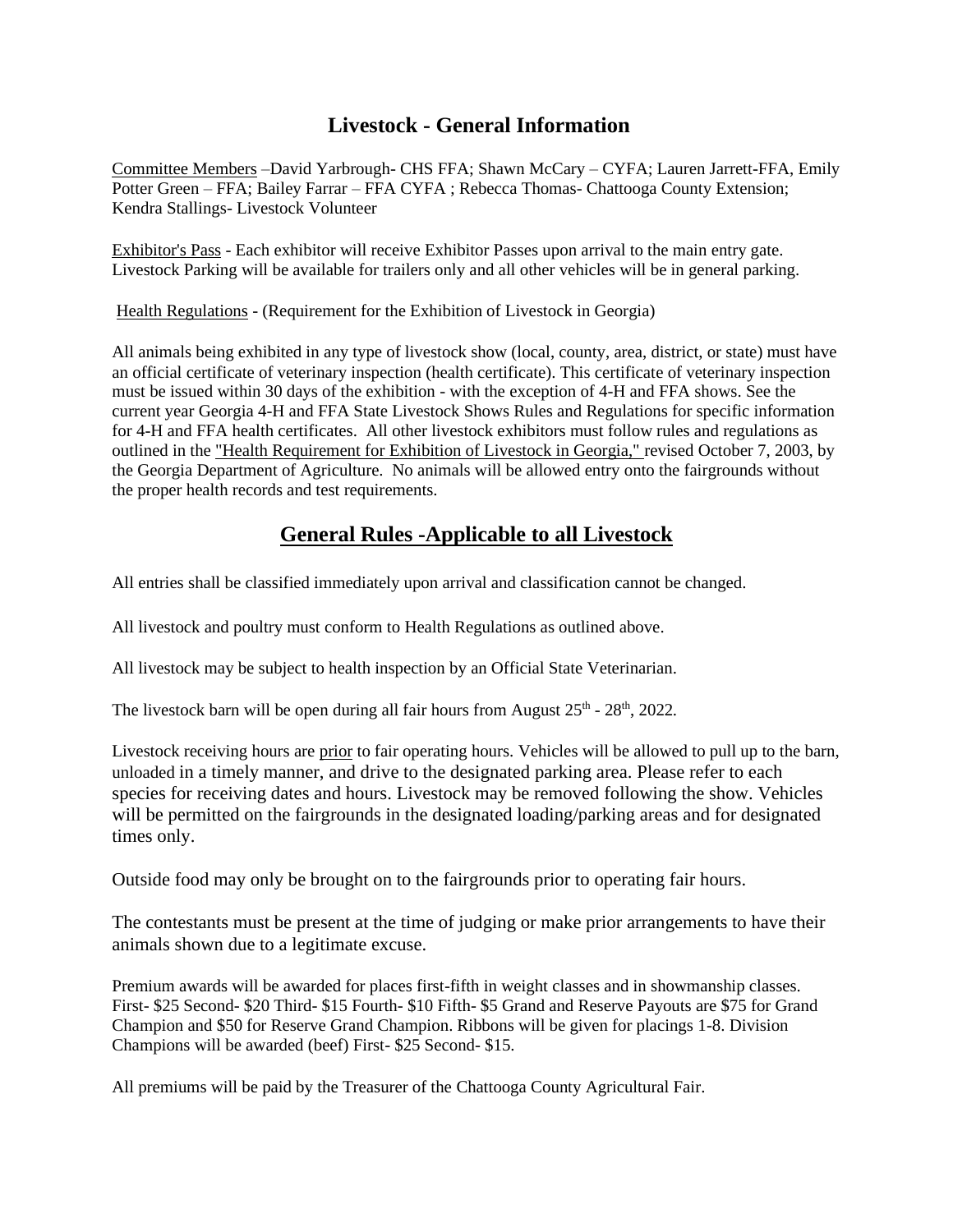## **Livestock - General Information**

Committee Members –David Yarbrough- CHS FFA; Shawn McCary – CYFA; Lauren Jarrett-FFA, Emily Potter Green – FFA; Bailey Farrar – FFA CYFA ; Rebecca Thomas- Chattooga County Extension; Kendra Stallings- Livestock Volunteer

Exhibitor's Pass - Each exhibitor will receive Exhibitor Passes upon arrival to the main entry gate. Livestock Parking will be available for trailers only and all other vehicles will be in general parking.

Health Regulations - (Requirement for the Exhibition of Livestock in Georgia)

All animals being exhibited in any type of livestock show (local, county, area, district, or state) must have an official certificate of veterinary inspection (health certificate). This certificate of veterinary inspection must be issued within 30 days of the exhibition - with the exception of 4-H and FFA shows. See the current year Georgia 4-H and FFA State Livestock Shows Rules and Regulations for specific information for 4-H and FFA health certificates. All other livestock exhibitors must follow rules and regulations as outlined in the "Health Requirement for Exhibition of Livestock in Georgia," revised October 7, 2003, by the Georgia Department of Agriculture. No animals will be allowed entry onto the fairgrounds without the proper health records and test requirements.

## **General Rules -Applicable to all Livestock**

All entries shall be classified immediately upon arrival and classification cannot be changed.

All livestock and poultry must conform to Health Regulations as outlined above.

All livestock may be subject to health inspection by an Official State Veterinarian.

The livestock barn will be open during all fair hours from August  $25<sup>th</sup>$  -  $28<sup>th</sup>$ ,  $2022$ .

Livestock receiving hours are prior to fair operating hours. Vehicles will be allowed to pull up to the barn, unloaded in a timely manner, and drive to the designated parking area. Please refer to each species for receiving dates and hours. Livestock may be removed following the show. Vehicles will be permitted on the fairgrounds in the designated loading/parking areas and for designated times only.

Outside food may only be brought on to the fairgrounds prior to operating fair hours.

The contestants must be present at the time of judging or make prior arrangements to have their animals shown due to a legitimate excuse.

Premium awards will be awarded for places first-fifth in weight classes and in showmanship classes. First- \$25 Second- \$20 Third- \$15 Fourth- \$10 Fifth- \$5 Grand and Reserve Payouts are \$75 for Grand Champion and \$50 for Reserve Grand Champion. Ribbons will be given for placings 1-8. Division Champions will be awarded (beef) First- \$25 Second- \$15.

All premiums will be paid by the Treasurer of the Chattooga County Agricultural Fair.